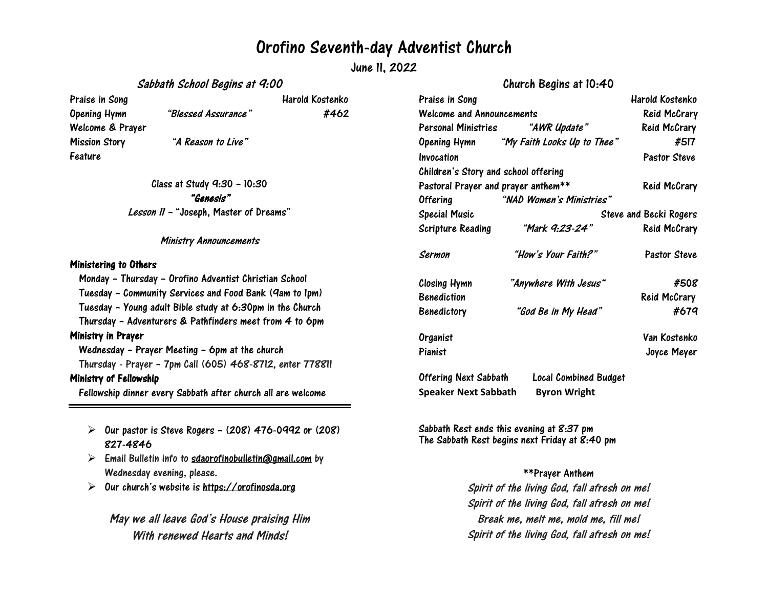## Orofino Seventh-day Adventist Church

June 11, 2022

Sabbath School Begins at 9:00

Praise in Song National Contract of the Harold Kostenko Welcome & Prayer Mission Story "A Reason to Live" Feature

Opening Hymn "Blessed Assurance" #462

Class at Study 9:30 – 10:30 "Genesis" Lesson <sup>11</sup> – "Joseph, Master of Dreams"

Ministry Announcements

## Ministering to Others

Monday – Thursday – Orofino Adventist Christian School Tuesday – Community Services and Food Bank (9am to 1pm) Tuesday – Young adult Bible study at 6:30pm in the Church Thursday – Adventurers & Pathfinders meet from 4 to 6pm Ministry in Prayer Wednesday – Prayer Meeting – 6pm at the church Thursday - Prayer – 7pm Call (605) 468-8712, enter 778811 Ministry of Fellowship Fellowship dinner every Sabbath after church all are welcome

- $\triangleright$  Our pastor is Steve Rogers (208) 476-0992 or (208) 827-4846
- $\triangleright$  Email Bulletin info to [sdaorofinobulletin@gmail.com](mailto:sdaorofinobulletin@gmail.com) by Wednesday evening, please.
- $\triangleright$ Our church's website is [https://orofinosda.org](https://orofinosda.org/)

May we all leave God's House praising Him With renewed Hearts and Minds!

|                                      | 011ai 011 0091113 an to: t a             |                     |
|--------------------------------------|------------------------------------------|---------------------|
| Praise in Song                       |                                          | Harold Kostenko     |
| <b>Welcome and Announcements</b>     |                                          | <b>Reid McCrary</b> |
|                                      | Personal Ministries "AWR Update"         | <b>Reid McCrary</b> |
|                                      | Opening Hymn "My Faith Looks Up to Thee" | #517                |
| Invocation                           |                                          | <b>Pastor Steve</b> |
| Children's Story and school offering |                                          |                     |
| Pastoral Prayer and prayer anthem**  |                                          | <b>Reid McCrary</b> |
| <b>Offering</b>                      | "NAD Women's Ministries"                 |                     |
| <b>Special Music</b>                 | <b>Steve and Becki Rogers</b>            |                     |
| Scripture Reading                    | "Mark 9:23-24"                           | <b>Reid McCrary</b> |
| Sermon                               | "How's Your Faith?"                      | <b>Pastor Steve</b> |
| Closing Hymn                         | "Anywhere With Jesus"                    | #508                |
| <b>Benediction</b>                   |                                          | Reid McCrary        |
| <b>Benedictory</b>                   | "God Be in My Head"                      | #679                |
| Organist                             |                                          | Van Kostenko        |
| Pianist                              |                                          | Joyce Meyer         |
| nffarium Novt Cabbath                | <b>Load Combinant Dudoat</b>             |                     |

Church Begins at 10:40

Offering Next Sabbath Local Combined Budget **Speaker Next Sabbath Byron Wright**

Sabbath Rest ends this evening at 8:37 pm The Sabbath Rest begins next Friday at 8:40 pm

## \*\*Prayer Anthem

Spirit of the living God, fall afresh on me! Spirit of the living God, fall afresh on me! Break me, melt me, mold me, fill me! Spirit of the living God, fall afresh on me!